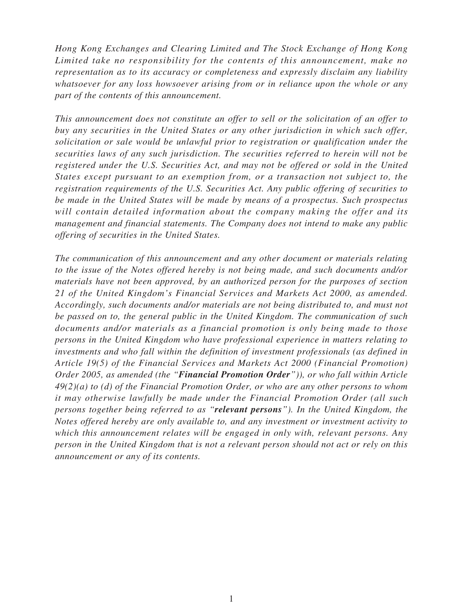*Hong Kong Exchanges and Clearing Limited and The Stock Exchange of Hong Kong Limited take no responsibility for the contents of this announcement, make no representation as to its accuracy or completeness and expressly disclaim any liability whatsoever for any loss howsoever arising from or in reliance upon the whole or any part of the contents of this announcement.*

*This announcement does not constitute an offer to sell or the solicitation of an offer to buy any securities in the United States or any other jurisdiction in which such offer, solicitation or sale would be unlawful prior to registration or qualification under the securities laws of any such jurisdiction. The securities referred to herein will not be registered under the U.S. Securities Act, and may not be offered or sold in the United States except pursuant to an exemption from, or a transaction not subject to, the registration requirements of the U.S. Securities Act. Any public offering of securities to be made in the United States will be made by means of a prospectus. Such prospectus will contain detailed information about the company making the offer and its management and financial statements. The Company does not intend to make any public offering of securities in the United States.*

*The communication of this announcement and any other document or materials relating to the issue of the Notes offered hereby is not being made, and such documents and/or materials have not been approved, by an authorized person for the purposes of section 21 of the United Kingdom's Financial Services and Markets Act 2000, as amended. Accordingly, such documents and/or materials are not being distributed to, and must not be passed on to, the general public in the United Kingdom. The communication of such documents and/or materials as a financial promotion is only being made to those persons in the United Kingdom who have professional experience in matters relating to investments and who fall within the definition of investment professionals (as defined in Article 19(5) of the Financial Services and Markets Act 2000 (Financial Promotion) Order 2005, as amended (the "Financial Promotion Order")), or who fall within Article 49(2)(a) to (d) of the Financial Promotion Order, or who are any other persons to whom it may otherwise lawfully be made under the Financial Promotion Order (all such persons together being referred to as "relevant persons"). In the United Kingdom, the Notes offered hereby are only available to, and any investment or investment activity to which this announcement relates will be engaged in only with, relevant persons. Any person in the United Kingdom that is not a relevant person should not act or rely on this announcement or any of its contents.*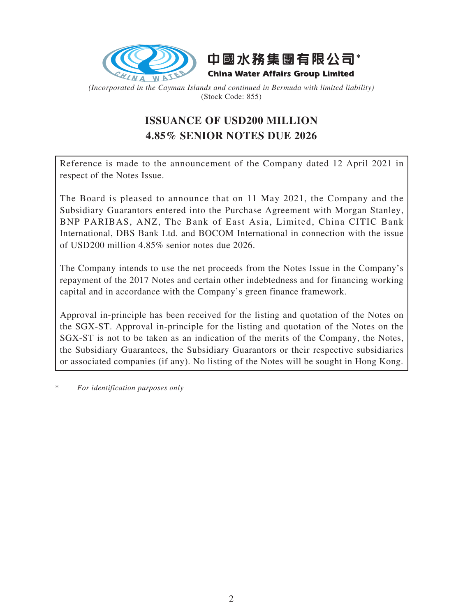



*(Incorporated in the Cayman Islands and continued in Bermuda with limited liability)* (Stock Code: 855)

# **ISSUANCE OF USD200 MILLION 4.85% SENIOR NOTES DUE 2026**

Reference is made to the announcement of the Company dated 12 April 2021 in respect of the Notes Issue.

The Board is pleased to announce that on 11 May 2021, the Company and the Subsidiary Guarantors entered into the Purchase Agreement with Morgan Stanley, BNP PARIBAS, ANZ, The Bank of East Asia, Limited, China CITIC Bank International, DBS Bank Ltd. and BOCOM International in connection with the issue of USD200 million 4.85% senior notes due 2026.

The Company intends to use the net proceeds from the Notes Issue in the Company's repayment of the 2017 Notes and certain other indebtedness and for financing working capital and in accordance with the Company's green finance framework.

Approval in-principle has been received for the listing and quotation of the Notes on the SGX-ST. Approval in-principle for the listing and quotation of the Notes on the SGX-ST is not to be taken as an indication of the merits of the Company, the Notes, the Subsidiary Guarantees, the Subsidiary Guarantors or their respective subsidiaries or associated companies (if any). No listing of the Notes will be sought in Hong Kong.

 $For$  *identification purposes only*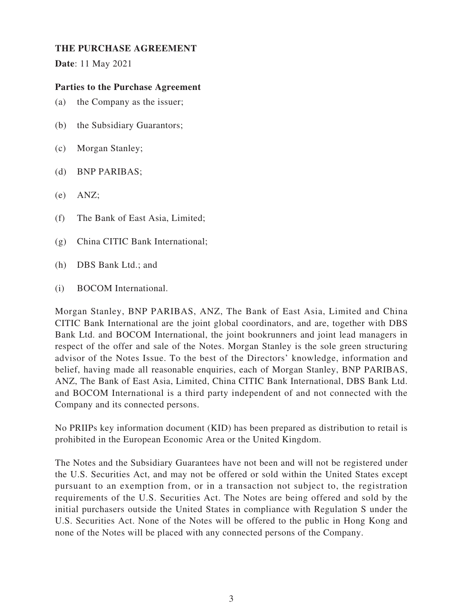## **THE PURCHASE AGREEMENT**

**Date**: 11 May 2021

# **Parties to the Purchase Agreement**

- (a) the Company as the issuer;
- (b) the Subsidiary Guarantors;
- (c) Morgan Stanley;
- (d) BNP PARIBAS;
- $(e)$  ANZ:
- (f) The Bank of East Asia, Limited;
- (g) China CITIC Bank International;
- (h) DBS Bank Ltd.; and
- (i) BOCOM International.

Morgan Stanley, BNP PARIBAS, ANZ, The Bank of East Asia, Limited and China CITIC Bank International are the joint global coordinators, and are, together with DBS Bank Ltd. and BOCOM International, the joint bookrunners and joint lead managers in respect of the offer and sale of the Notes. Morgan Stanley is the sole green structuring advisor of the Notes Issue. To the best of the Directors' knowledge, information and belief, having made all reasonable enquiries, each of Morgan Stanley, BNP PARIBAS, ANZ, The Bank of East Asia, Limited, China CITIC Bank International, DBS Bank Ltd. and BOCOM International is a third party independent of and not connected with the Company and its connected persons.

No PRIIPs key information document (KID) has been prepared as distribution to retail is prohibited in the European Economic Area or the United Kingdom.

The Notes and the Subsidiary Guarantees have not been and will not be registered under the U.S. Securities Act, and may not be offered or sold within the United States except pursuant to an exemption from, or in a transaction not subject to, the registration requirements of the U.S. Securities Act. The Notes are being offered and sold by the initial purchasers outside the United States in compliance with Regulation S under the U.S. Securities Act. None of the Notes will be offered to the public in Hong Kong and none of the Notes will be placed with any connected persons of the Company.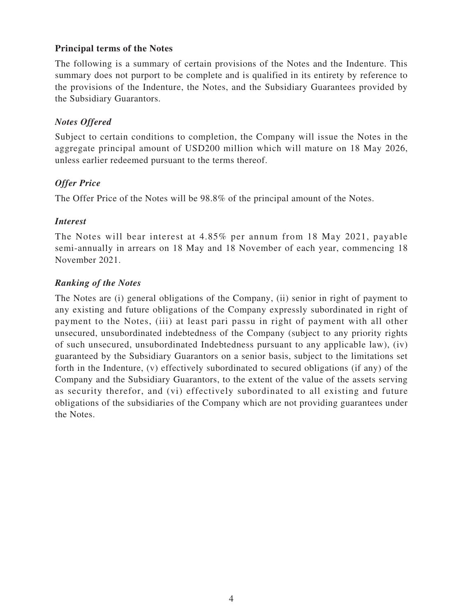# **Principal terms of the Notes**

The following is a summary of certain provisions of the Notes and the Indenture. This summary does not purport to be complete and is qualified in its entirety by reference to the provisions of the Indenture, the Notes, and the Subsidiary Guarantees provided by the Subsidiary Guarantors.

## *Notes Offered*

Subject to certain conditions to completion, the Company will issue the Notes in the aggregate principal amount of USD200 million which will mature on 18 May 2026, unless earlier redeemed pursuant to the terms thereof.

# *Offer Price*

The Offer Price of the Notes will be 98.8% of the principal amount of the Notes.

## *Interest*

The Notes will bear interest at 4.85% per annum from 18 May 2021, payable semi-annually in arrears on 18 May and 18 November of each year, commencing 18 November 2021.

# *Ranking of the Notes*

The Notes are (i) general obligations of the Company, (ii) senior in right of payment to any existing and future obligations of the Company expressly subordinated in right of payment to the Notes, (iii) at least pari passu in right of payment with all other unsecured, unsubordinated indebtedness of the Company (subject to any priority rights of such unsecured, unsubordinated Indebtedness pursuant to any applicable law), (iv) guaranteed by the Subsidiary Guarantors on a senior basis, subject to the limitations set forth in the Indenture, (v) effectively subordinated to secured obligations (if any) of the Company and the Subsidiary Guarantors, to the extent of the value of the assets serving as security therefor, and (vi) effectively subordinated to all existing and future obligations of the subsidiaries of the Company which are not providing guarantees under the Notes.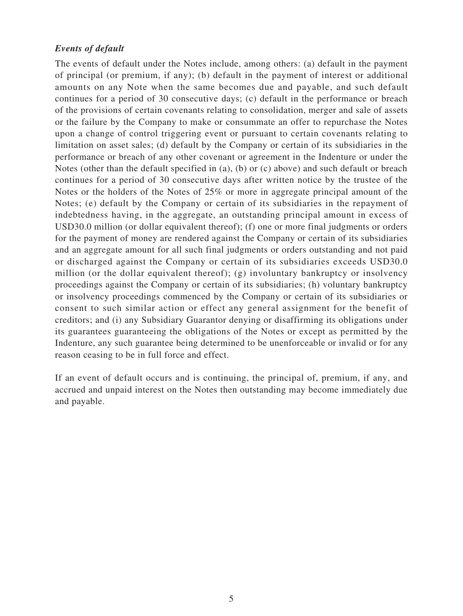#### *Events of default*

The events of default under the Notes include, among others: (a) default in the payment of principal (or premium, if any); (b) default in the payment of interest or additional amounts on any Note when the same becomes due and payable, and such default continues for a period of 30 consecutive days; (c) default in the performance or breach of the provisions of certain covenants relating to consolidation, merger and sale of assets or the failure by the Company to make or consummate an offer to repurchase the Notes upon a change of control triggering event or pursuant to certain covenants relating to limitation on asset sales; (d) default by the Company or certain of its subsidiaries in the performance or breach of any other covenant or agreement in the Indenture or under the Notes (other than the default specified in (a), (b) or (c) above) and such default or breach continues for a period of 30 consecutive days after written notice by the trustee of the Notes or the holders of the Notes of 25% or more in aggregate principal amount of the Notes; (e) default by the Company or certain of its subsidiaries in the repayment of indebtedness having, in the aggregate, an outstanding principal amount in excess of USD30.0 million (or dollar equivalent thereof); (f) one or more final judgments or orders for the payment of money are rendered against the Company or certain of its subsidiaries and an aggregate amount for all such final judgments or orders outstanding and not paid or discharged against the Company or certain of its subsidiaries exceeds USD30.0 million (or the dollar equivalent thereof); (g) involuntary bankruptcy or insolvency proceedings against the Company or certain of its subsidiaries; (h) voluntary bankruptcy or insolvency proceedings commenced by the Company or certain of its subsidiaries or consent to such similar action or effect any general assignment for the benefit of creditors; and (i) any Subsidiary Guarantor denying or disaffirming its obligations under its guarantees guaranteeing the obligations of the Notes or except as permitted by the Indenture, any such guarantee being determined to be unenforceable or invalid or for any reason ceasing to be in full force and effect.

If an event of default occurs and is continuing, the principal of, premium, if any, and accrued and unpaid interest on the Notes then outstanding may become immediately due and payable.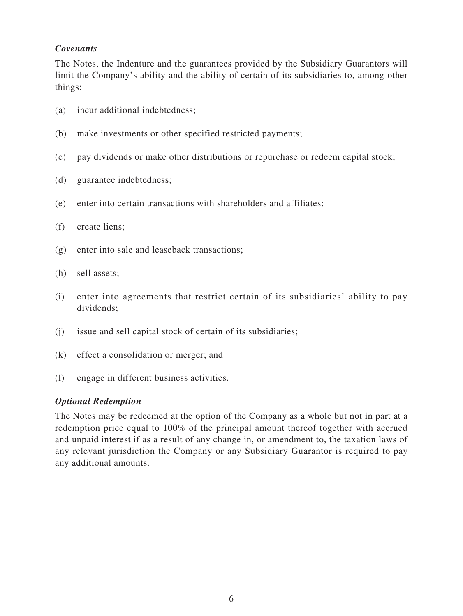# *Covenants*

The Notes, the Indenture and the guarantees provided by the Subsidiary Guarantors will limit the Company's ability and the ability of certain of its subsidiaries to, among other things:

- (a) incur additional indebtedness;
- (b) make investments or other specified restricted payments;
- (c) pay dividends or make other distributions or repurchase or redeem capital stock;
- (d) guarantee indebtedness;
- (e) enter into certain transactions with shareholders and affiliates;
- (f) create liens;
- (g) enter into sale and leaseback transactions;
- (h) sell assets;
- (i) enter into agreements that restrict certain of its subsidiaries' ability to pay dividends;
- (j) issue and sell capital stock of certain of its subsidiaries;
- (k) effect a consolidation or merger; and
- (l) engage in different business activities.

#### *Optional Redemption*

The Notes may be redeemed at the option of the Company as a whole but not in part at a redemption price equal to 100% of the principal amount thereof together with accrued and unpaid interest if as a result of any change in, or amendment to, the taxation laws of any relevant jurisdiction the Company or any Subsidiary Guarantor is required to pay any additional amounts.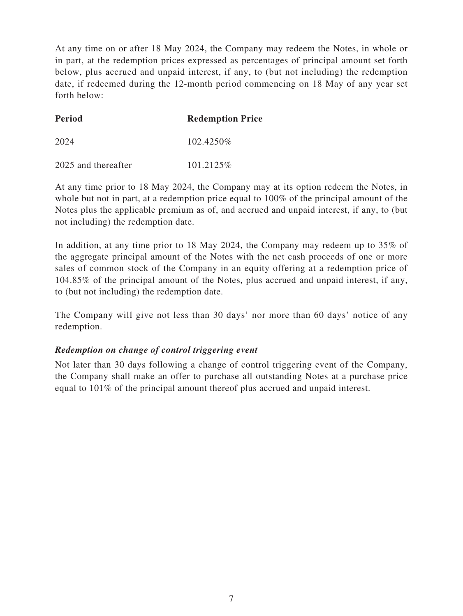At any time on or after 18 May 2024, the Company may redeem the Notes, in whole or in part, at the redemption prices expressed as percentages of principal amount set forth below, plus accrued and unpaid interest, if any, to (but not including) the redemption date, if redeemed during the 12-month period commencing on 18 May of any year set forth below:

| <b>Period</b> | <b>Redemption Price</b> |
|---------------|-------------------------|
| 2024          | 102.4250\%              |

2025 and thereafter 101.2125\%

At any time prior to 18 May 2024, the Company may at its option redeem the Notes, in whole but not in part, at a redemption price equal to 100% of the principal amount of the Notes plus the applicable premium as of, and accrued and unpaid interest, if any, to (but not including) the redemption date.

In addition, at any time prior to 18 May 2024, the Company may redeem up to 35% of the aggregate principal amount of the Notes with the net cash proceeds of one or more sales of common stock of the Company in an equity offering at a redemption price of 104.85% of the principal amount of the Notes, plus accrued and unpaid interest, if any, to (but not including) the redemption date.

The Company will give not less than 30 days' nor more than 60 days' notice of any redemption.

# *Redemption on change of control triggering event*

Not later than 30 days following a change of control triggering event of the Company, the Company shall make an offer to purchase all outstanding Notes at a purchase price equal to 101% of the principal amount thereof plus accrued and unpaid interest.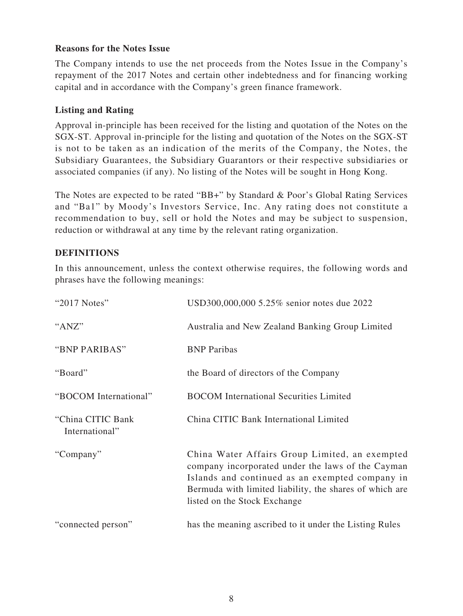# **Reasons for the Notes Issue**

The Company intends to use the net proceeds from the Notes Issue in the Company's repayment of the 2017 Notes and certain other indebtedness and for financing working capital and in accordance with the Company's green finance framework.

# **Listing and Rating**

Approval in-principle has been received for the listing and quotation of the Notes on the SGX-ST. Approval in-principle for the listing and quotation of the Notes on the SGX-ST is not to be taken as an indication of the merits of the Company, the Notes, the Subsidiary Guarantees, the Subsidiary Guarantors or their respective subsidiaries or associated companies (if any). No listing of the Notes will be sought in Hong Kong.

The Notes are expected to be rated "BB+" by Standard & Poor's Global Rating Services and "Ba1" by Moody's Investors Service, Inc. Any rating does not constitute a recommendation to buy, sell or hold the Notes and may be subject to suspension, reduction or withdrawal at any time by the relevant rating organization.

## **DEFINITIONS**

In this announcement, unless the context otherwise requires, the following words and phrases have the following meanings:

| "2017 Notes"                        | USD300,000,000 5.25% senior notes due 2022                                                                                                                                                                                                        |
|-------------------------------------|---------------------------------------------------------------------------------------------------------------------------------------------------------------------------------------------------------------------------------------------------|
| "ANZ"                               | Australia and New Zealand Banking Group Limited                                                                                                                                                                                                   |
| "BNP PARIBAS"                       | <b>BNP</b> Paribas                                                                                                                                                                                                                                |
| "Board"                             | the Board of directors of the Company                                                                                                                                                                                                             |
| "BOCOM International"               | <b>BOCOM</b> International Securities Limited                                                                                                                                                                                                     |
| "China CITIC Bank<br>International" | China CITIC Bank International Limited                                                                                                                                                                                                            |
| "Company"                           | China Water Affairs Group Limited, an exempted<br>company incorporated under the laws of the Cayman<br>Islands and continued as an exempted company in<br>Bermuda with limited liability, the shares of which are<br>listed on the Stock Exchange |
| "connected person"                  | has the meaning ascribed to it under the Listing Rules                                                                                                                                                                                            |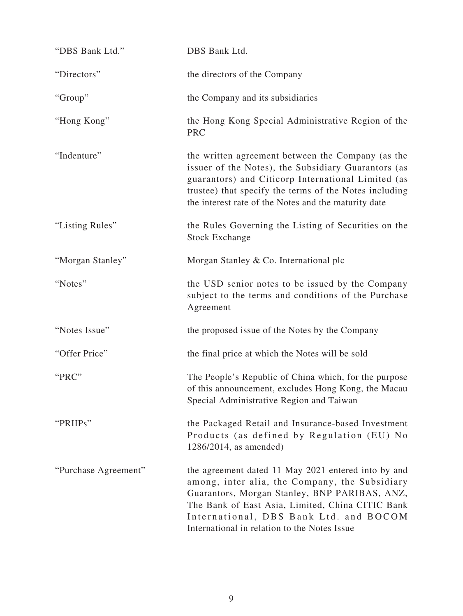| "DBS Bank Ltd."      | DBS Bank Ltd.                                                                                                                                                                                                                                                                                        |
|----------------------|------------------------------------------------------------------------------------------------------------------------------------------------------------------------------------------------------------------------------------------------------------------------------------------------------|
| "Directors"          | the directors of the Company                                                                                                                                                                                                                                                                         |
| "Group"              | the Company and its subsidiaries                                                                                                                                                                                                                                                                     |
| "Hong Kong"          | the Hong Kong Special Administrative Region of the<br><b>PRC</b>                                                                                                                                                                                                                                     |
| "Indenture"          | the written agreement between the Company (as the<br>issuer of the Notes), the Subsidiary Guarantors (as<br>guarantors) and Citicorp International Limited (as<br>trustee) that specify the terms of the Notes including<br>the interest rate of the Notes and the maturity date                     |
| "Listing Rules"      | the Rules Governing the Listing of Securities on the<br><b>Stock Exchange</b>                                                                                                                                                                                                                        |
| "Morgan Stanley"     | Morgan Stanley & Co. International plc                                                                                                                                                                                                                                                               |
| "Notes"              | the USD senior notes to be issued by the Company<br>subject to the terms and conditions of the Purchase<br>Agreement                                                                                                                                                                                 |
| "Notes Issue"        | the proposed issue of the Notes by the Company                                                                                                                                                                                                                                                       |
| "Offer Price"        | the final price at which the Notes will be sold                                                                                                                                                                                                                                                      |
| "PRC"                | The People's Republic of China which, for the purpose<br>of this announcement, excludes Hong Kong, the Macau<br>Special Administrative Region and Taiwan                                                                                                                                             |
| "PRIIPs"             | the Packaged Retail and Insurance-based Investment<br>Products (as defined by Regulation (EU) No<br>1286/2014, as amended)                                                                                                                                                                           |
| "Purchase Agreement" | the agreement dated 11 May 2021 entered into by and<br>among, inter alia, the Company, the Subsidiary<br>Guarantors, Morgan Stanley, BNP PARIBAS, ANZ,<br>The Bank of East Asia, Limited, China CITIC Bank<br>International, DBS Bank Ltd. and BOCOM<br>International in relation to the Notes Issue |